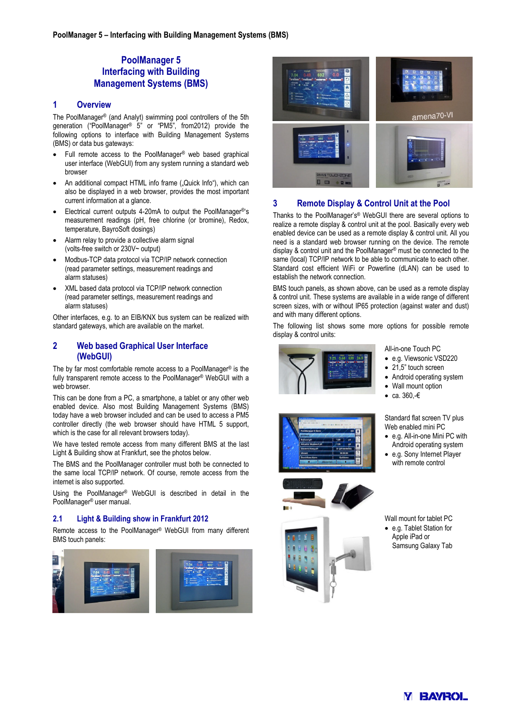# **PoolManager 5 Interfacing with Building Management Systems (BMS)**

### **1 Overview**

The PoolManager® (and Analyt) swimming pool controllers of the 5th generation ("PoolManager® 5" or "PM5", from2012) provide the following options to interface with Building Management Systems (BMS) or data bus gateways:

- Full remote access to the PoolManager® web based graphical user interface (WebGUI) from any system running a standard web browser
- An additional compact HTML info frame ("Quick Info"), which can also be displayed in a web browser, provides the most important current information at a glance.
- Electrical current outputs 4-20mA to output the PoolManager®'s measurement readings (pH, free chlorine (or bromine), Redox, temperature, BayroSoft dosings)
- Alarm relay to provide a collective alarm signal (volts-free switch or 230V~ output)
- Modbus-TCP data protocol via TCP/IP network connection (read parameter settings, measurement readings and alarm statuses)
- XML based data protocol via TCP/IP network connection (read parameter settings, measurement readings and alarm statuses)

Other interfaces, e.g. to an EIB/KNX bus system can be realized with standard gateways, which are available on the market.

## **2 Web based Graphical User Interface (WebGUI)**

The by far most comfortable remote access to a PoolManager® is the fully transparent remote access to the PoolManager® WebGUI with a web browser.

This can be done from a PC, a smartphone, a tablet or any other web enabled device. Also most Building Management Systems (BMS) today have a web browser included and can be used to access a PM5 controller directly (the web browser should have HTML 5 support, which is the case for all relevant browsers today).

We have tested remote access from many different BMS at the last Light & Building show at Frankfurt, see the photos below.

The BMS and the PoolManager controller must both be connected to the same local TCP/IP network. Of course, remote access from the internet is also supported.

Using the PoolManager® WebGUI is described in detail in the PoolManager® user manual.

## **2.1 Light & Building show in Frankfurt 2012**

Remote access to the PoolManager® WebGUI from many different BMS touch panels:





## **3 Remote Display & Control Unit at the Pool**

Thanks to the PoolManager's® WebGUI there are several options to realize a remote display & control unit at the pool. Basically every web enabled device can be used as a remote display & control unit. All you need is a standard web browser running on the device. The remote display & control unit and the PoolManager® must be connected to the same (local) TCP/IP network to be able to communicate to each other. Standard cost efficient WiFi or Powerline (dLAN) can be used to establish the network connection.

BMS touch panels, as shown above, can be used as a remote display & control unit. These systems are available in a wide range of different screen sizes, with or without IP65 protection (against water and dust) and with many different options.

The following list shows some more options for possible remote display & control units:



- e.g. Viewsonic VSD220
- 21.5" touch screen
- Android operating system
- Wall mount option
- ca. 360,-€

Standard flat screen TV plus Web enabled mini PC

- e.g. All-in-one Mini PC with Android operating system
- e.g. Sony Internet Player with remote control

Wall mount for tablet PC • e.g. Tablet Station for Apple iPad or Samsung Galaxy Tab



**M BAVROL**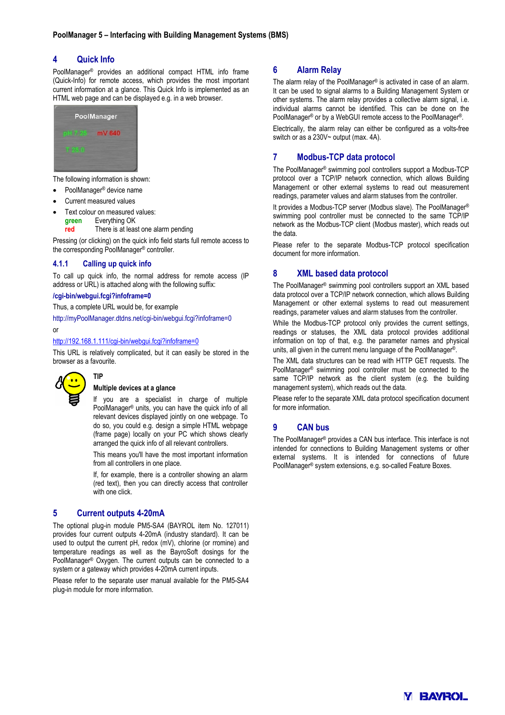## **4 Quick Info**

PoolManager® provides an additional compact HTML info frame (Quick-Info) for remote access, which provides the most important current information at a glance. This Quick Info is implemented as an HTML web page and can be displayed e.g. in a web browser.



The following information is shown:

- PoolManager® device name
- Current measured values
- Text colour on measured values:
	- **green** Everything OK
	- **red** There is at least one alarm pending

Pressing (or clicking) on the quick info field starts full remote access to the corresponding PoolManager® controller.

### **4.1.1 Calling up quick info**

To call up quick info, the normal address for remote access (IP address or URL) is attached along with the following suffix:

### **/cgi-bin/webgui.fcgi?infoframe=0**

**TIP** 

Thus, a complete URL would be, for example

http://myPoolManager.dtdns.net/cgi-bin/webgui.fcgi?infoframe=0 or

#### http://192.168.1.111/cgi-bin/webgui.fcgi?infoframe=0

This URL is relatively complicated, but it can easily be stored in the browser as a favourite.



#### **Multiple devices at a glance**

If you are a specialist in charge of multiple PoolManager® units, you can have the quick info of all relevant devices displayed jointly on one webpage. To do so, you could e.g. design a simple HTML webpage (frame page) locally on your PC which shows clearly arranged the quick info of all relevant controllers.

This means you'll have the most important information from all controllers in one place.

If, for example, there is a controller showing an alarm (red text), then you can directly access that controller with one click.

## **5 Current outputs 4-20mA**

The optional plug-in module PM5-SA4 (BAYROL item No. 127011) provides four current outputs 4-20mA (industry standard). It can be used to output the current pH, redox (mV), chlorine (or rromine) and temperature readings as well as the BayroSoft dosings for the PoolManager® Oxygen. The current outputs can be connected to a system or a gateway which provides 4-20mA current inputs.

Please refer to the separate user manual available for the PM5-SA4 plug-in module for more information.

## **6 Alarm Relay**

The alarm relay of the PoolManager® is activated in case of an alarm. It can be used to signal alarms to a Building Management System or other systems. The alarm relay provides a collective alarm signal, i.e. individual alarms cannot be identified. This can be done on the PoolManager® or by a WebGUI remote access to the PoolManager®.

Electrically, the alarm relay can either be configured as a volts-free switch or as a 230V~ output (max. 4A).

## **7 Modbus-TCP data protocol**

The PoolManager® swimming pool controllers support a Modbus-TCP protocol over a TCP/IP network connection, which allows Building Management or other external systems to read out measurement readings, parameter values and alarm statuses from the controller.

It provides a Modbus-TCP server (Modbus slave). The PoolManager® swimming pool controller must be connected to the same TCP/IP network as the Modbus-TCP client (Modbus master), which reads out the data.

Please refer to the separate Modbus-TCP protocol specification document for more information.

## **8 XML based data protocol**

The PoolManager® swimming pool controllers support an XML based data protocol over a TCP/IP network connection, which allows Building Management or other external systems to read out measurement readings, parameter values and alarm statuses from the controller.

While the Modbus-TCP protocol only provides the current settings, readings or statuses, the XML data protocol provides additional information on top of that, e.g. the parameter names and physical units, all given in the current menu language of the PoolManager®.

The XML data structures can be read with HTTP GET requests. The PoolManager® swimming pool controller must be connected to the same TCP/IP network as the client system (e.g. the building management system), which reads out the data.

Please refer to the separate XML data protocol specification document for more information.

## **9 CAN bus**

The PoolManager® provides a CAN bus interface. This interface is not intended for connections to Building Management systems or other external systems. It is intended for connections of future PoolManager® system extensions, e.g. so-called Feature Boxes.